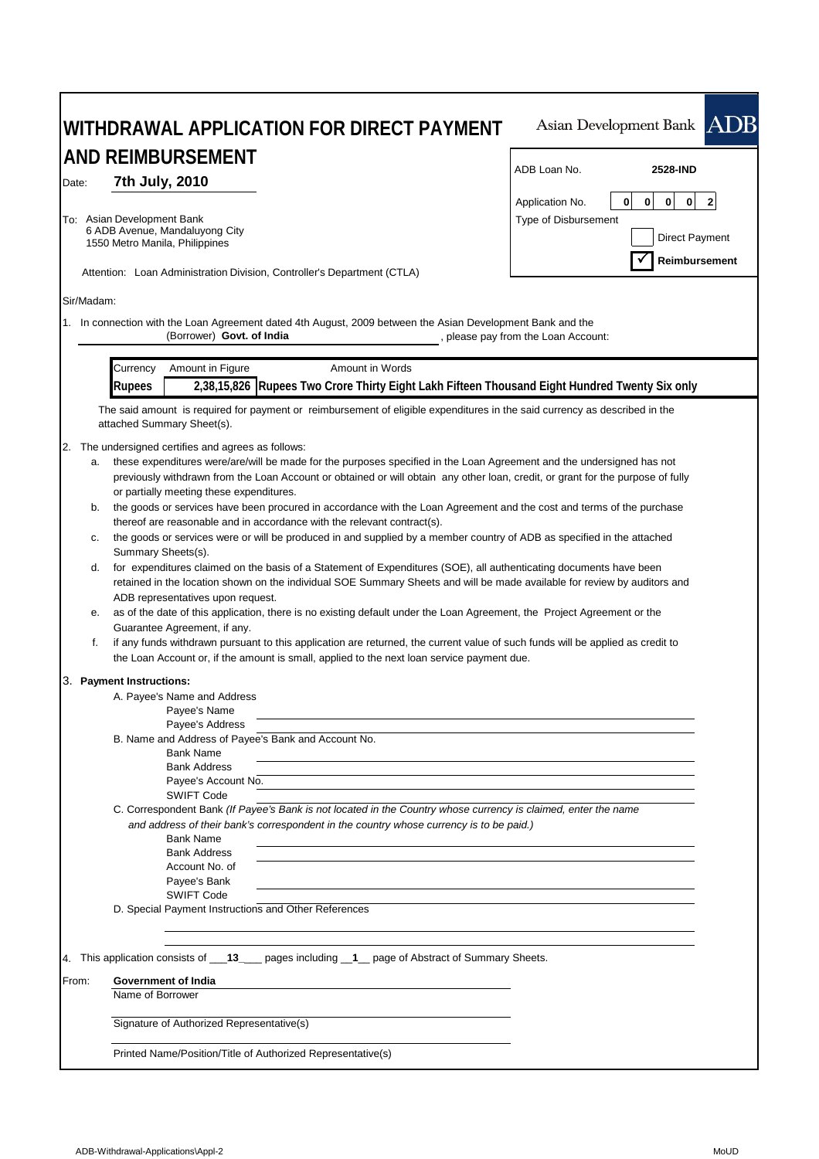| WITHDRAWAL APPLICATION FOR DIRECT PAYMENT                                                                                                                                                                                          | Asian Development Bank ADB                                                           |  |  |  |  |
|------------------------------------------------------------------------------------------------------------------------------------------------------------------------------------------------------------------------------------|--------------------------------------------------------------------------------------|--|--|--|--|
| AND REIMBURSEMENT                                                                                                                                                                                                                  |                                                                                      |  |  |  |  |
| 7th July, 2010<br>Date:                                                                                                                                                                                                            | ADB Loan No.<br>2528-IND                                                             |  |  |  |  |
|                                                                                                                                                                                                                                    | $\mathbf 0$<br>$\overline{2}$<br>0<br>$\mathbf{0}$<br>$\mathbf 0$<br>Application No. |  |  |  |  |
| To: Asian Development Bank                                                                                                                                                                                                         | Type of Disbursement                                                                 |  |  |  |  |
| 6 ADB Avenue, Mandaluyong City                                                                                                                                                                                                     | <b>Direct Payment</b>                                                                |  |  |  |  |
| 1550 Metro Manila, Philippines                                                                                                                                                                                                     | Reimbursement                                                                        |  |  |  |  |
| Attention: Loan Administration Division, Controller's Department (CTLA)                                                                                                                                                            |                                                                                      |  |  |  |  |
| Sir/Madam:                                                                                                                                                                                                                         |                                                                                      |  |  |  |  |
| 1. In connection with the Loan Agreement dated 4th August, 2009 between the Asian Development Bank and the                                                                                                                         |                                                                                      |  |  |  |  |
| (Borrower) Govt. of India                                                                                                                                                                                                          | , please pay from the Loan Account:                                                  |  |  |  |  |
| Amount in Figure<br>Amount in Words<br>Currency                                                                                                                                                                                    |                                                                                      |  |  |  |  |
| 2,38,15,826 Rupees Two Crore Thirty Eight Lakh Fifteen Thousand Eight Hundred Twenty Six only<br><b>Rupees</b>                                                                                                                     |                                                                                      |  |  |  |  |
| The said amount is required for payment or reimbursement of eligible expenditures in the said currency as described in the                                                                                                         |                                                                                      |  |  |  |  |
| attached Summary Sheet(s).                                                                                                                                                                                                         |                                                                                      |  |  |  |  |
| 2. The undersigned certifies and agrees as follows:                                                                                                                                                                                |                                                                                      |  |  |  |  |
| these expenditures were/are/will be made for the purposes specified in the Loan Agreement and the undersigned has not<br>a.                                                                                                        |                                                                                      |  |  |  |  |
| previously withdrawn from the Loan Account or obtained or will obtain any other loan, credit, or grant for the purpose of fully                                                                                                    |                                                                                      |  |  |  |  |
| or partially meeting these expenditures.                                                                                                                                                                                           |                                                                                      |  |  |  |  |
| the goods or services have been procured in accordance with the Loan Agreement and the cost and terms of the purchase<br>b.                                                                                                        |                                                                                      |  |  |  |  |
| thereof are reasonable and in accordance with the relevant contract(s).<br>the goods or services were or will be produced in and supplied by a member country of ADB as specified in the attached                                  |                                                                                      |  |  |  |  |
| c.<br>Summary Sheets(s).                                                                                                                                                                                                           |                                                                                      |  |  |  |  |
| d.<br>for expenditures claimed on the basis of a Statement of Expenditures (SOE), all authenticating documents have been                                                                                                           |                                                                                      |  |  |  |  |
| retained in the location shown on the individual SOE Summary Sheets and will be made available for review by auditors and                                                                                                          |                                                                                      |  |  |  |  |
| ADB representatives upon request.                                                                                                                                                                                                  |                                                                                      |  |  |  |  |
| as of the date of this application, there is no existing default under the Loan Agreement, the Project Agreement or the<br>е.                                                                                                      |                                                                                      |  |  |  |  |
| Guarantee Agreement, if any.                                                                                                                                                                                                       |                                                                                      |  |  |  |  |
| f.<br>if any funds withdrawn pursuant to this application are returned, the current value of such funds will be applied as credit to<br>the Loan Account or, if the amount is small, applied to the next loan service payment due. |                                                                                      |  |  |  |  |
|                                                                                                                                                                                                                                    |                                                                                      |  |  |  |  |
| 3. Payment Instructions:<br>A. Payee's Name and Address                                                                                                                                                                            |                                                                                      |  |  |  |  |
| Payee's Name                                                                                                                                                                                                                       |                                                                                      |  |  |  |  |
| Payee's Address                                                                                                                                                                                                                    |                                                                                      |  |  |  |  |
| B. Name and Address of Payee's Bank and Account No.                                                                                                                                                                                |                                                                                      |  |  |  |  |
| <b>Bank Name</b><br><b>Bank Address</b>                                                                                                                                                                                            |                                                                                      |  |  |  |  |
| Payee's Account No.                                                                                                                                                                                                                |                                                                                      |  |  |  |  |
| <b>SWIFT Code</b>                                                                                                                                                                                                                  |                                                                                      |  |  |  |  |
| C. Correspondent Bank (If Payee's Bank is not located in the Country whose currency is claimed, enter the name                                                                                                                     |                                                                                      |  |  |  |  |
| and address of their bank's correspondent in the country whose currency is to be paid.)                                                                                                                                            |                                                                                      |  |  |  |  |
| <b>Bank Name</b>                                                                                                                                                                                                                   |                                                                                      |  |  |  |  |
| <b>Bank Address</b><br>Account No. of                                                                                                                                                                                              |                                                                                      |  |  |  |  |
| Payee's Bank                                                                                                                                                                                                                       |                                                                                      |  |  |  |  |
| <b>SWIFT Code</b>                                                                                                                                                                                                                  |                                                                                      |  |  |  |  |
| D. Special Payment Instructions and Other References                                                                                                                                                                               |                                                                                      |  |  |  |  |
| 4. This application consists of __13____ pages including _1_ page of Abstract of Summary Sheets.                                                                                                                                   |                                                                                      |  |  |  |  |
| Government of India<br>From:                                                                                                                                                                                                       |                                                                                      |  |  |  |  |
| Name of Borrower                                                                                                                                                                                                                   |                                                                                      |  |  |  |  |
| Signature of Authorized Representative(s)                                                                                                                                                                                          |                                                                                      |  |  |  |  |
| Printed Name/Position/Title of Authorized Representative(s)                                                                                                                                                                        |                                                                                      |  |  |  |  |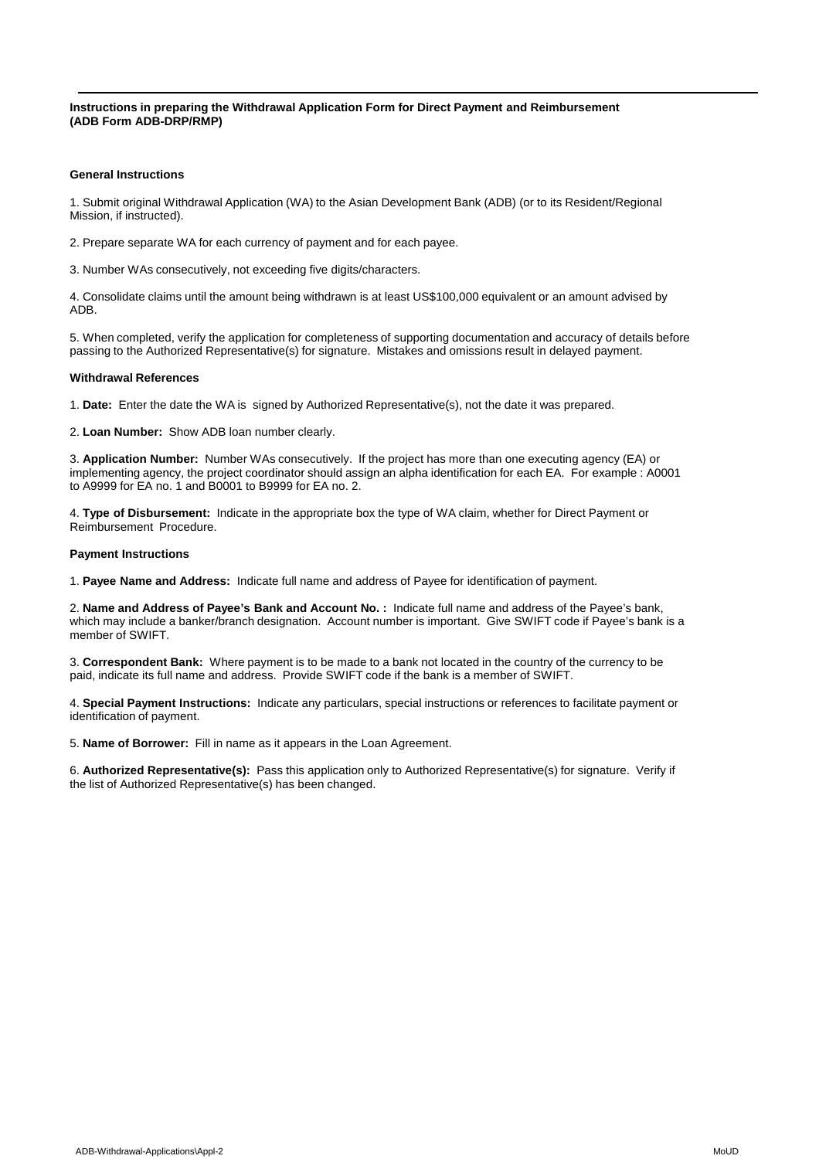**Instructions in preparing the Withdrawal Application Form for Direct Payment and Reimbursement (ADB Form ADB-DRP/RMP)**

## **General Instructions**

1. Submit original Withdrawal Application (WA) to the Asian Development Bank (ADB) (or to its Resident/Regional Mission, if instructed).

2. Prepare separate WA for each currency of payment and for each payee.

3. Number WAs consecutively, not exceeding five digits/characters.

4. Consolidate claims until the amount being withdrawn is at least US\$100,000 equivalent or an amount advised by ADB.

5. When completed, verify the application for completeness of supporting documentation and accuracy of details before passing to the Authorized Representative(s) for signature. Mistakes and omissions result in delayed payment.

## **Withdrawal References**

1. **Date:** Enter the date the WA is signed by Authorized Representative(s), not the date it was prepared.

2. **Loan Number:** Show ADB loan number clearly.

3. **Application Number:** Number WAs consecutively. If the project has more than one executing agency (EA) or implementing agency, the project coordinator should assign an alpha identification for each EA. For example : A0001 to A9999 for EA no. 1 and B0001 to B9999 for EA no. 2.

4. **Type of Disbursement:** Indicate in the appropriate box the type of WA claim, whether for Direct Payment or Reimbursement Procedure.

## **Payment Instructions**

1. **Payee Name and Address:** Indicate full name and address of Payee for identification of payment.

2. **Name and Address of Payee's Bank and Account No. :** Indicate full name and address of the Payee's bank, which may include a banker/branch designation. Account number is important. Give SWIFT code if Payee's bank is a member of SWIFT.

3. **Correspondent Bank:** Where payment is to be made to a bank not located in the country of the currency to be paid, indicate its full name and address. Provide SWIFT code if the bank is a member of SWIFT.

4. **Special Payment Instructions:** Indicate any particulars, special instructions or references to facilitate payment or identification of payment.

5. **Name of Borrower:** Fill in name as it appears in the Loan Agreement.

6. **Authorized Representative(s):** Pass this application only to Authorized Representative(s) for signature. Verify if the list of Authorized Representative(s) has been changed.